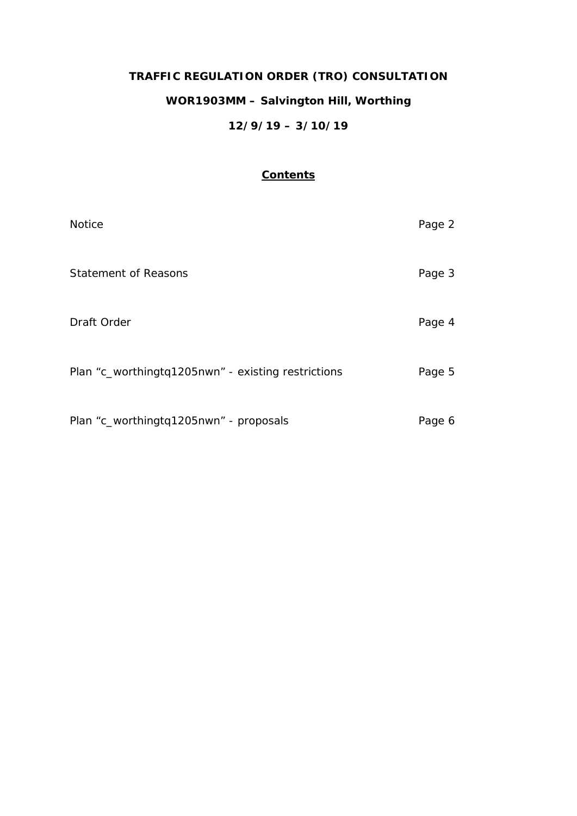# **TRAFFIC REGULATION ORDER (TRO) CONSULTATION WOR1903MM – Salvington Hill, Worthing 12/9/19 – 3/10/19**

# **Contents**

| <b>Notice</b>                                      | Page 2 |
|----------------------------------------------------|--------|
| <b>Statement of Reasons</b>                        | Page 3 |
| Draft Order                                        | Page 4 |
| Plan "c_worthingtq1205nwn" - existing restrictions | Page 5 |
| Plan "c_worthingtq1205nwn" - proposals             | Page 6 |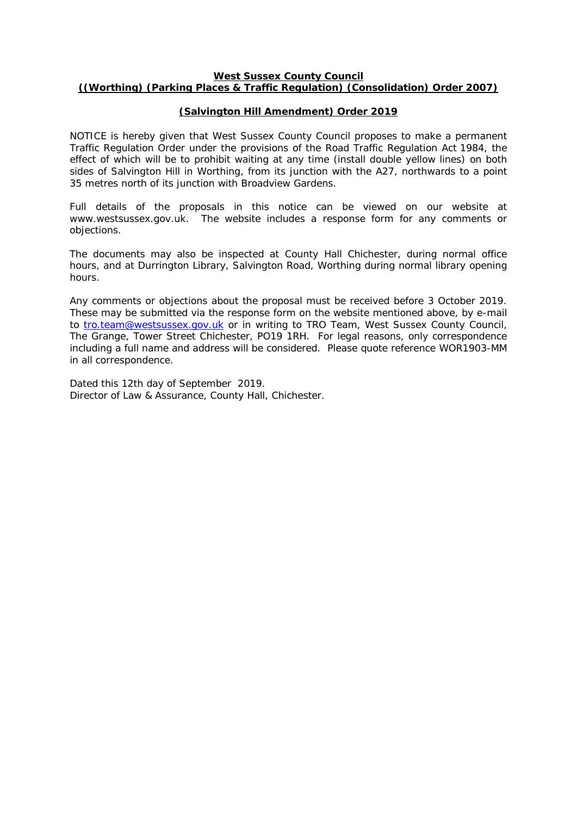#### **West Sussex County Council ((Worthing) (Parking Places & Traffic Regulation) (Consolidation) Order 2007)**

# **(Salvington Hill Amendment) Order 2019**

NOTICE is hereby given that West Sussex County Council proposes to make a permanent Traffic Regulation Order under the provisions of the Road Traffic Regulation Act 1984, the effect of which will be to prohibit waiting at any time (install double yellow lines) on both sides of Salvington Hill in Worthing, from its junction with the A27, northwards to a point 35 metres north of its junction with Broadview Gardens.

Full details of the proposals in this notice can be viewed on our website at www.westsussex.gov.uk. The website includes a response form for any comments or objections.

The documents may also be inspected at County Hall Chichester, during normal office hours, and at Durrington Library, Salvington Road, Worthing during normal library opening hours.

Any comments or objections about the proposal must be received before 3 October 2019. These may be submitted via the response form on the website mentioned above, by e-mail to [tro.team@westsussex.gov.uk](mailto:tro.team@westsussex.gov.uk) or in writing to TRO Team, West Sussex County Council, The Grange, Tower Street Chichester, PO19 1RH. For legal reasons, only correspondence including a full name and address will be considered. Please quote reference WOR1903-MM in all correspondence.

Dated this 12th day of September 2019. Director of Law & Assurance, County Hall, Chichester.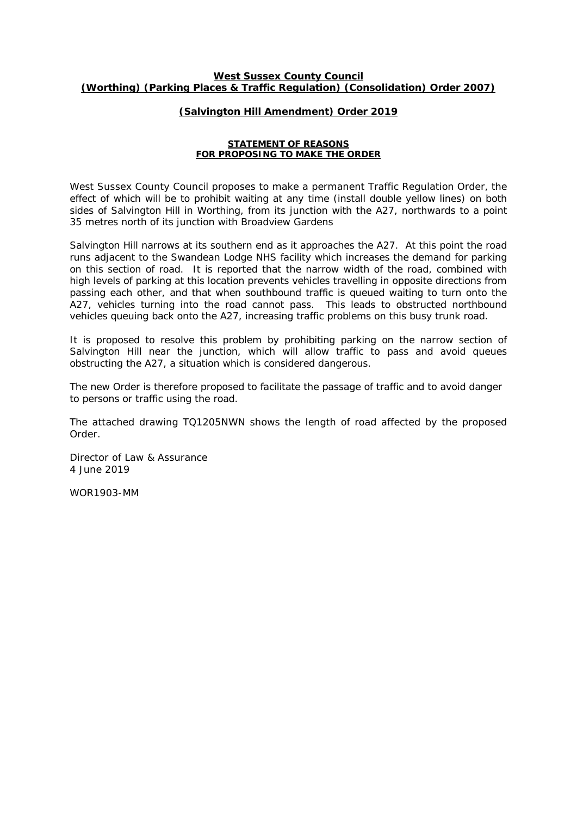#### **West Sussex County Council (Worthing) (Parking Places & Traffic Regulation) (Consolidation) Order 2007)**

#### **(Salvington Hill Amendment) Order 2019**

#### **STATEMENT OF REASONS FOR PROPOSING TO MAKE THE ORDER**

West Sussex County Council proposes to make a permanent Traffic Regulation Order, the effect of which will be to prohibit waiting at any time (install double yellow lines) on both sides of Salvington Hill in Worthing, from its junction with the A27, northwards to a point 35 metres north of its junction with Broadview Gardens

Salvington Hill narrows at its southern end as it approaches the A27. At this point the road runs adjacent to the Swandean Lodge NHS facility which increases the demand for parking on this section of road. It is reported that the narrow width of the road, combined with high levels of parking at this location prevents vehicles travelling in opposite directions from passing each other, and that when southbound traffic is queued waiting to turn onto the A27, vehicles turning into the road cannot pass. This leads to obstructed northbound vehicles queuing back onto the A27, increasing traffic problems on this busy trunk road.

It is proposed to resolve this problem by prohibiting parking on the narrow section of Salvington Hill near the junction, which will allow traffic to pass and avoid queues obstructing the A27, a situation which is considered dangerous.

The new Order is therefore proposed to facilitate the passage of traffic and to avoid danger to persons or traffic using the road.

The attached drawing TQ1205NWN shows the length of road affected by the proposed Order.

Director of Law & Assurance 4 June 2019

WOR1903-MM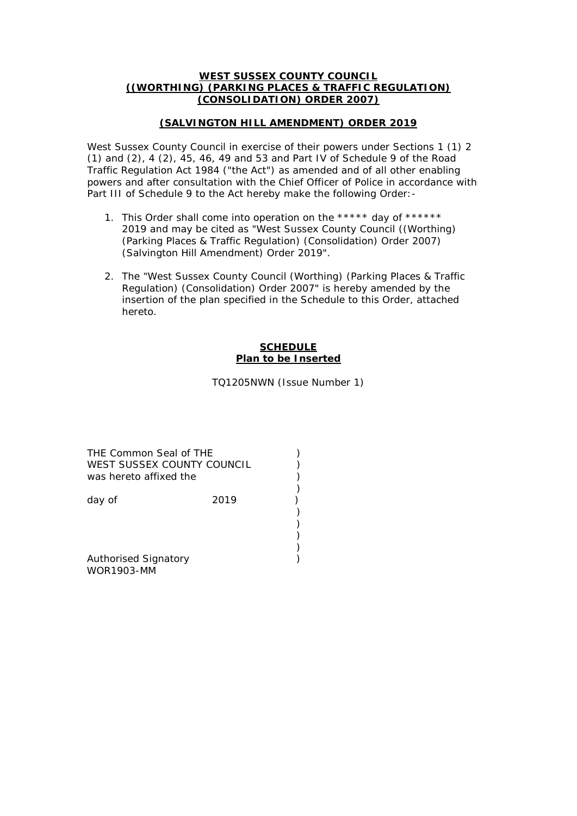### **WEST SUSSEX COUNTY COUNCIL ((WORTHING) (PARKING PLACES & TRAFFIC REGULATION) (CONSOLIDATION) ORDER 2007)**

# **(SALVINGTON HILL AMENDMENT) ORDER 2019**

West Sussex County Council in exercise of their powers under Sections 1 (1) 2 (1) and (2), 4 (2), 45, 46, 49 and 53 and Part IV of Schedule 9 of the Road Traffic Regulation Act 1984 ("the Act") as amended and of all other enabling powers and after consultation with the Chief Officer of Police in accordance with Part III of Schedule 9 to the Act hereby make the following Order: -

- 1. This Order shall come into operation on the \*\*\*\*\* day of \*\*\*\*\*\* 2019 and may be cited as "West Sussex County Council ((Worthing) (Parking Places & Traffic Regulation) (Consolidation) Order 2007) (Salvington Hill Amendment) Order 2019".
- 2. The "West Sussex County Council (Worthing) (Parking Places & Traffic Regulation) (Consolidation) Order 2007" is hereby amended by the insertion of the plan specified in the Schedule to this Order, attached hereto.

# **SCHEDULE Plan to be Inserted**

TQ1205NWN (Issue Number 1)

)

) ) ) )

THE Common Seal of THE (2002) WEST SUSSEX COUNTY COUNCIL  $\overrightarrow{)}$ was hereto affixed the

day of 2019

Authorised Signatory (and the state of the state of the state of the state of the state of the state of the state of the state of the state of the state of the state of the state of the state of the state of the state of t WOR1903-MM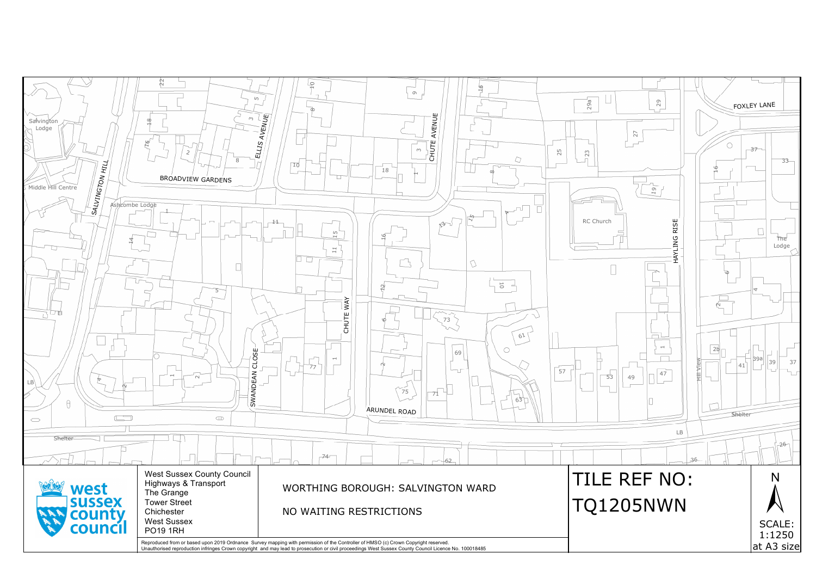